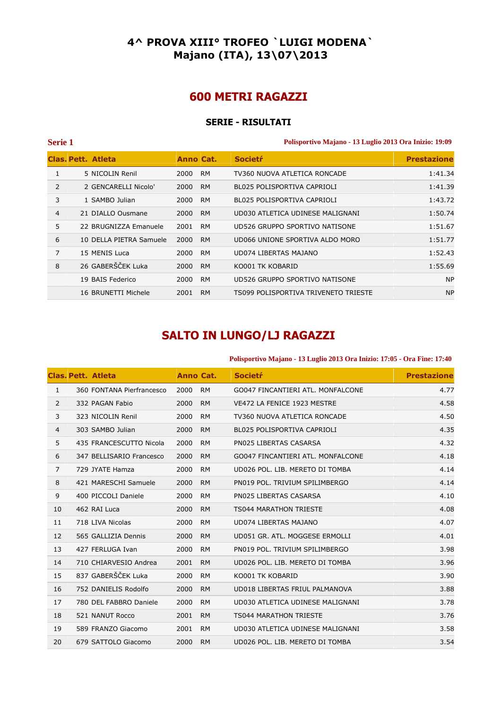## **4^ PROVA XIII° TROFEO `LUIGI MODENA` Majano (ITA), 13\07\2013**

# **600 METRI RAGAZZI**

## **SERIE - RISULTATI**

**Serie 1 Polisportivo Majano - 13 Luglio 2013 Ora Inizio: 19:09** 

|   | Clas. Pett. Atleta      | Anno Cat. |           | <b>Societr</b>                       | <b>Prestazione</b> |
|---|-------------------------|-----------|-----------|--------------------------------------|--------------------|
|   | 5 NICOLIN Renil         | 2000      | <b>RM</b> | TV360 NUOVA ATLETICA RONCADE         | 1:41.34            |
| 2 | 2 GENCARELLI Nicolo'    | 2000      | <b>RM</b> | BL025 POLISPORTIVA CAPRIOLI          | 1:41.39            |
| 3 | 1 SAMBO Julian          | 2000      | <b>RM</b> | BL025 POLISPORTIVA CAPRIOLI          | 1:43.72            |
| 4 | 21 DIALLO Ousmane       | 2000      | <b>RM</b> | UD030 ATLETICA UDINESE MALIGNANI     | 1:50.74            |
| 5 | 22 BRUGNIZZA Emanuele   | 2001      | <b>RM</b> | UD526 GRUPPO SPORTIVO NATISONE       | 1:51.67            |
| 6 | 10 DELLA PIETRA Samuele | 2000      | <b>RM</b> | UD066 UNIONE SPORTIVA ALDO MORO      | 1:51.77            |
| 7 | 15 MENIS Luca           | 2000      | <b>RM</b> | UD074 LIBERTAS MAJANO                | 1:52.43            |
| 8 | 26 GABERŠČEK Luka       | 2000      | <b>RM</b> | KO001 TK KOBARID                     | 1:55.69            |
|   | 19 BAIS Federico        | 2000      | <b>RM</b> | UD526 GRUPPO SPORTIVO NATISONE       | <b>NP</b>          |
|   | 16 BRUNETTI Michele     | 2001      | <b>RM</b> | TS099 POLISPORTIVA TRIVENETO TRIESTE | <b>NP</b>          |

# **SALTO IN LUNGO/LJ RAGAZZI**

#### **Polisportivo Majano - 13 Luglio 2013 Ora Inizio: 17:05 - Ora Fine: 17:40**

|                | <b>Clas. Pett. Atleta</b> | Anno Cat. |           | <b>Societr</b>                     | <b>Prestazione</b> |
|----------------|---------------------------|-----------|-----------|------------------------------------|--------------------|
| $\mathbf{1}$   | 360 FONTANA Pierfrancesco | 2000      | <b>RM</b> | GO047 FINCANTIERI ATL. MONFALCONE  | 4.77               |
| 2              | 332 PAGAN Fabio           | 2000      | <b>RM</b> | VE472 LA FENICE 1923 MESTRE        | 4.58               |
| 3              | 323 NICOLIN Renil         | 2000      | <b>RM</b> | TV360 NUOVA ATLETICA RONCADE       | 4.50               |
| 4              | 303 SAMBO Julian          | 2000      | <b>RM</b> | <b>BL025 POLISPORTIVA CAPRIOLI</b> | 4.35               |
| 5              | 435 FRANCESCUTTO Nicola   | 2000      | <b>RM</b> | PN025 LIBERTAS CASARSA             | 4.32               |
| 6              | 347 BELLISARIO Francesco  | 2000      | <b>RM</b> | GO047 FINCANTIERI ATL. MONFALCONE  | 4.18               |
| $\overline{7}$ | 729 JYATE Hamza           | 2000      | <b>RM</b> | UD026 POL. LIB. MERETO DI TOMBA    | 4.14               |
| 8              | 421 MARESCHI Samuele      | 2000      | <b>RM</b> | PN019 POL. TRIVIUM SPILIMBERGO     | 4.14               |
| 9              | 400 PICCOLI Daniele       | 2000      | <b>RM</b> | PN025 LIBERTAS CASARSA             | 4.10               |
| 10             | 462 RAI Luca              | 2000      | <b>RM</b> | <b>TS044 MARATHON TRIESTE</b>      | 4.08               |
| 11             | 718 LIVA Nicolas          | 2000      | <b>RM</b> | UD074 LIBERTAS MAJANO              | 4.07               |
| 12             | 565 GALLIZIA Dennis       | 2000      | <b>RM</b> | UD051 GR. ATL. MOGGESE ERMOLLI     | 4.01               |
| 13             | 427 FERLUGA Ivan          | 2000      | <b>RM</b> | PN019 POL. TRIVIUM SPILIMBERGO     | 3.98               |
| 14             | 710 CHIARVESIO Andrea     | 2001      | <b>RM</b> | UD026 POL. LIB. MERETO DI TOMBA    | 3.96               |
| 15             | 837 GABERŠČEK Luka        | 2000      | <b>RM</b> | KO001 TK KOBARID                   | 3.90               |
| 16             | 752 DANIELIS Rodolfo      | 2000      | <b>RM</b> | UD018 LIBERTAS FRIUL PALMANOVA     | 3.88               |
| 17             | 780 DEL FABBRO Daniele    | 2000      | <b>RM</b> | UD030 ATLETICA UDINESE MALIGNANI   | 3.78               |
| 18             | 521 NANUT Rocco           | 2001      | <b>RM</b> | <b>TS044 MARATHON TRIESTE</b>      | 3.76               |
| 19             | 589 FRANZO Giacomo        | 2001      | <b>RM</b> | UD030 ATLETICA UDINESE MALIGNANI   | 3.58               |
| 20             | 679 SATTOLO Giacomo       | 2000      | <b>RM</b> | UD026 POL. LIB. MERETO DI TOMBA    | 3.54               |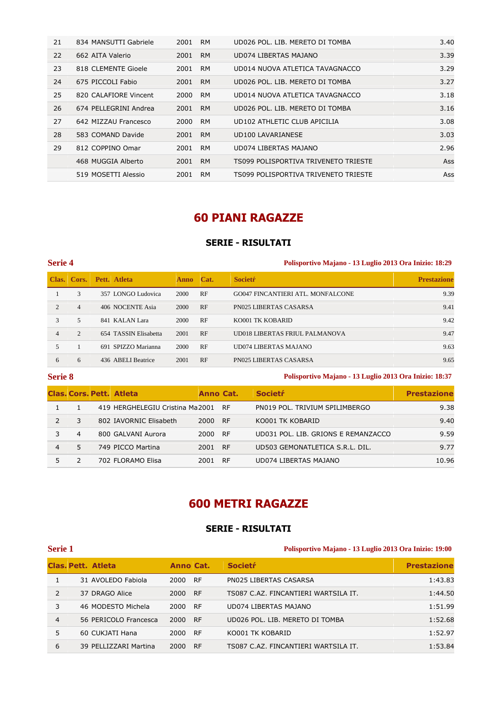| 21 | 834 MANSUTTI Gabriele | 2001 | <b>RM</b> | UD026 POL. LIB. MERETO DI TOMBA      | 3.40 |
|----|-----------------------|------|-----------|--------------------------------------|------|
| 22 | 662 AITA Valerio      | 2001 | <b>RM</b> | UD074 LIBERTAS MAJANO                | 3.39 |
| 23 | 818 CLEMENTE Gioele   | 2001 | <b>RM</b> | UD014 NUOVA ATLETICA TAVAGNACCO      | 3.29 |
| 24 | 675 PICCOLI Fabio     | 2001 | <b>RM</b> | UD026 POL. LIB. MERETO DI TOMBA      | 3.27 |
| 25 | 820 CALAFIORE Vincent | 2000 | <b>RM</b> | UD014 NUOVA ATLETICA TAVAGNACCO      | 3.18 |
| 26 | 674 PELLEGRINI Andrea | 2001 | <b>RM</b> | UD026 POL. LIB. MERETO DI TOMBA      | 3.16 |
| 27 | 642 MIZZAU Francesco  | 2000 | <b>RM</b> | UD102 ATHLETIC CLUB APICILIA         | 3.08 |
| 28 | 583 COMAND Davide     | 2001 | <b>RM</b> | UD100 LAVARIANESE                    | 3.03 |
| 29 | 812 COPPINO Omar      | 2001 | <b>RM</b> | UD074 LIBERTAS MAJANO                | 2.96 |
|    | 468 MUGGIA Alberto    | 2001 | <b>RM</b> | TS099 POLISPORTIVA TRIVENETO TRIESTE | Ass  |
|    | 519 MOSETTI Alessio   | 2001 | <b>RM</b> | TS099 POLISPORTIVA TRIVENETO TRIESTE | Ass  |

# **60 PIANI RAGAZZE**

## **SERIE - RISULTATI**

### **Serie 4 Polisportivo Majano - 13 Luglio 2013 Ora Inizio: 18:29**

|                |                | Clas. Cors. Pett. Atleta | <b>Anno</b> | Cat. | <b>Societr</b>                    | <b>Prestazione</b> |
|----------------|----------------|--------------------------|-------------|------|-----------------------------------|--------------------|
|                | 3              | 357 LONGO Ludovica       | 2000        | RF   | GO047 FINCANTIERI ATL. MONFALCONE | 9.39               |
| $\mathfrak{D}$ | $\overline{4}$ | 406 NOCENTE Asia         | 2000        | RF   | <b>PN025 LIBERTAS CASARSA</b>     | 9.41               |
| 3              | 5              | 841 KALAN Lara           | 2000        | RF   | KO001 TK KOBARID                  | 9.42               |
| 4              | $\overline{2}$ | 654 TASSIN Elisabetta    | 2001        | RF   | UD018 LIBERTAS FRIUL PALMANOVA    | 9.47               |
|                |                | 691 SPIZZO Marianna      | 2000        | RF   | UD074 LIBERTAS MAJANO             | 9.63               |
| 6              | 6              | 436 ABELI Beatrice       | 2001        | RF   | <b>PN025 LIBERTAS CASARSA</b>     | 9.65               |

**Serie 8 Polisportivo Majano - 13 Luglio 2013 Ora Inizio: 18:37** 

|   |    | <b>Clas, Cors, Pett. Atleta</b> | Anno Cat. |           | <b>Societr</b>                      | <b>Prestazione</b> |
|---|----|---------------------------------|-----------|-----------|-------------------------------------|--------------------|
|   |    | 419 HERGHELEGIU Cristina Ma2001 |           | - RF      | PN019 POL. TRIVIUM SPILIMBERGO      | 9.38               |
|   |    | 802 IAVORNIC Elisabeth          | 2000      | <b>RF</b> | KO001 TK KOBARID                    | 9.40               |
|   | 4  | 800 GALVANI Aurora              | 2000      | <b>RF</b> | UD031 POL. LIB. GRIONS E REMANZACCO | 9.59               |
| 4 | 5. | 749 PICCO Martina               | 2001      | <b>RF</b> | UD503 GEMONATLETICA S.R.L. DIL.     | 9.77               |
|   |    | 702 FLORAMO Elisa               | 2001      | <b>RF</b> | UD074 LIBERTAS MAJANO               | 10.96              |

# **600 METRI RAGAZZE**

## **SERIE - RISULTATI**

### **Serie 1 Polisportivo Majano - 13 Luglio 2013 Ora Inizio: 19:00**

|   | <b>Clas, Pett. Atleta</b> | Anno Cat. |           | <b>Societr</b>                       | <b>Prestazione</b> |
|---|---------------------------|-----------|-----------|--------------------------------------|--------------------|
|   | 31 AVOLEDO Fabiola        | 2000      | <b>RF</b> | PN025 LIBERTAS CASARSA               | 1:43.83            |
| 2 | 37 DRAGO Alice            | 2000      | <b>RF</b> | TS087 C.AZ. FINCANTIERI WARTSILA IT. | 1:44.50            |
| 3 | 46 MODESTO Michela        | 2000      | <b>RF</b> | UD074 LIBERTAS MAJANO                | 1:51.99            |
| 4 | 56 PERICOLO Francesca     | 2000      | <b>RF</b> | UD026 POL. LIB. MERETO DI TOMBA      | 1:52.68            |
| 5 | 60 CUKJATI Hana           | 2000      | <b>RF</b> | KO001 TK KOBARID                     | 1:52.97            |
| 6 | 39 PELLIZZARI Martina     | 2000      | <b>RF</b> | TS087 C.AZ. FINCANTIERI WARTSILA IT. | 1:53.84            |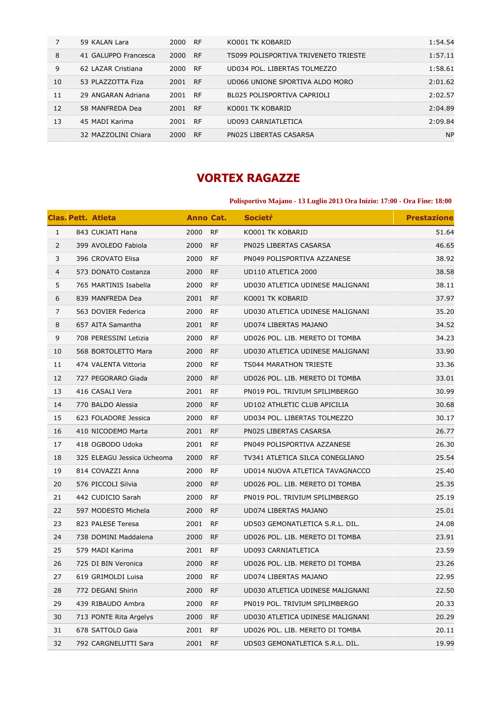|    | 59 KALAN Lara        | 2000 | <b>RF</b> | KO001 TK KOBARID                     | 1:54.54   |
|----|----------------------|------|-----------|--------------------------------------|-----------|
| 8  | 41 GALUPPO Francesca | 2000 | <b>RF</b> | TS099 POLISPORTIVA TRIVENETO TRIESTE | 1:57.11   |
| 9  | 62 LAZAR Cristiana   | 2000 | <b>RF</b> | UD034 POL. LIBERTAS TOLMEZZO         | 1:58.61   |
| 10 | 53 PLAZZOTTA Fiza    | 2001 | <b>RF</b> | UD066 UNIONE SPORTIVA ALDO MORO      | 2:01.62   |
| 11 | 29 ANGARAN Adriana   | 2001 | <b>RF</b> | BL025 POLISPORTIVA CAPRIOLI          | 2:02.57   |
| 12 | 58 MANFREDA Dea      | 2001 | <b>RF</b> | KO001 TK KOBARID                     | 2:04.89   |
| 13 | 45 MADI Karima       | 2001 | <b>RF</b> | UD093 CARNIATLETICA                  | 2:09.84   |
|    | 32 MAZZOLINI Chiara  | 2000 | <b>RF</b> | PN025 LIBERTAS CASARSA               | <b>NP</b> |

# **VORTEX RAGAZZE**

## **Polisportivo Majano - 13 Luglio 2013 Ora Inizio: 17:00 - Ora Fine: 18:00**

|                | <b>Clas. Pett. Atleta</b>  | <b>Anno Cat.</b> |           | <b>Societr</b>                   | <b>Prestazione</b> |
|----------------|----------------------------|------------------|-----------|----------------------------------|--------------------|
| $\mathbf{1}$   | 843 CUKJATI Hana           | 2000 RF          |           | KO001 TK KOBARID                 | 51.64              |
| $\overline{2}$ | 399 AVOLEDO Fabiola        | 2000             | <b>RF</b> | PN025 LIBERTAS CASARSA           | 46.65              |
| 3              | 396 CROVATO Elisa          | 2000             | <b>RF</b> | PN049 POLISPORTIVA AZZANESE      | 38.92              |
| $\overline{4}$ | 573 DONATO Costanza        | 2000             | <b>RF</b> | UD110 ATLETICA 2000              | 38.58              |
| 5              | 765 MARTINIS Isabella      | 2000             | <b>RF</b> | UD030 ATLETICA UDINESE MALIGNANI | 38.11              |
| 6              | 839 MANFREDA Dea           | 2001             | <b>RF</b> | KO001 TK KOBARID                 | 37.97              |
| 7              | 563 DOVIER Federica        | 2000             | <b>RF</b> | UD030 ATLETICA UDINESE MALIGNANI | 35.20              |
| 8              | 657 AITA Samantha          | 2001             | <b>RF</b> | UD074 LIBERTAS MAJANO            | 34.52              |
| 9              | 708 PERESSINI Letizia      | 2000             | <b>RF</b> | UD026 POL. LIB. MERETO DI TOMBA  | 34.23              |
| 10             | 568 BORTOLETTO Mara        | 2000             | <b>RF</b> | UD030 ATLETICA UDINESE MALIGNANI | 33.90              |
| 11             | 474 VALENTA Vittoria       | 2000             | <b>RF</b> | TS044 MARATHON TRIESTE           | 33.36              |
| 12             | 727 PEGORARO Giada         | 2000             | <b>RF</b> | UD026 POL. LIB. MERETO DI TOMBA  | 33.01              |
| 13             | 416 CASALI Vera            | 2001             | <b>RF</b> | PN019 POL. TRIVIUM SPILIMBERGO   | 30.99              |
| 14             | 770 BALDO Alessia          | 2000             | <b>RF</b> | UD102 ATHLETIC CLUB APICILIA     | 30.68              |
| 15             | 623 FOLADORE Jessica       | 2000             | <b>RF</b> | UD034 POL. LIBERTAS TOLMEZZO     | 30.17              |
| 16             | 410 NICODEMO Marta         | 2001             | <b>RF</b> | PN025 LIBERTAS CASARSA           | 26.77              |
| 17             | 418 OGBODO Udoka           | 2001             | <b>RF</b> | PN049 POLISPORTIVA AZZANESE      | 26.30              |
| 18             | 325 ELEAGU Jessica Ucheoma | 2000             | <b>RF</b> | TV341 ATLETICA SILCA CONEGLIANO  | 25.54              |
| 19             | 814 COVAZZI Anna           | 2000             | <b>RF</b> | UD014 NUOVA ATLETICA TAVAGNACCO  | 25.40              |
| 20             | 576 PICCOLI Silvia         | 2000             | <b>RF</b> | UD026 POL. LIB. MERETO DI TOMBA  | 25.35              |
| 21             | 442 CUDICIO Sarah          | 2000             | <b>RF</b> | PN019 POL. TRIVIUM SPILIMBERGO   | 25.19              |
| 22             | 597 MODESTO Michela        | 2000             | <b>RF</b> | UD074 LIBERTAS MAJANO            | 25.01              |
| 23             | 823 PALESE Teresa          | 2001             | <b>RF</b> | UD503 GEMONATLETICA S.R.L. DIL.  | 24.08              |
| 24             | 738 DOMINI Maddalena       | 2000             | <b>RF</b> | UD026 POL. LIB. MERETO DI TOMBA  | 23.91              |
| 25             | 579 MADI Karima            | 2001             | <b>RF</b> | UD093 CARNIATLETICA              | 23.59              |
| 26             | 725 DI BIN Veronica        | 2000             | <b>RF</b> | UD026 POL. LIB. MERETO DI TOMBA  | 23.26              |
| 27             | 619 GRIMOLDI Luisa         | 2000             | <b>RF</b> | UD074 LIBERTAS MAJANO            | 22.95              |
| 28             | 772 DEGANI Shirin          | 2000             | <b>RF</b> | UD030 ATLETICA UDINESE MALIGNANI | 22.50              |
| 29             | 439 RIBAUDO Ambra          | 2000             | <b>RF</b> | PN019 POL. TRIVIUM SPILIMBERGO   | 20.33              |
| 30             | 713 PONTE Rita Argelys     | 2000             | <b>RF</b> | UD030 ATLETICA UDINESE MALIGNANI | 20.29              |
| 31             | 678 SATTOLO Gaia           | 2001             | <b>RF</b> | UD026 POL. LIB. MERETO DI TOMBA  | 20.11              |
| 32             | 792 CARGNELUTTI Sara       | 2001             | <b>RF</b> | UD503 GEMONATLETICA S.R.L. DIL.  | 19.99              |